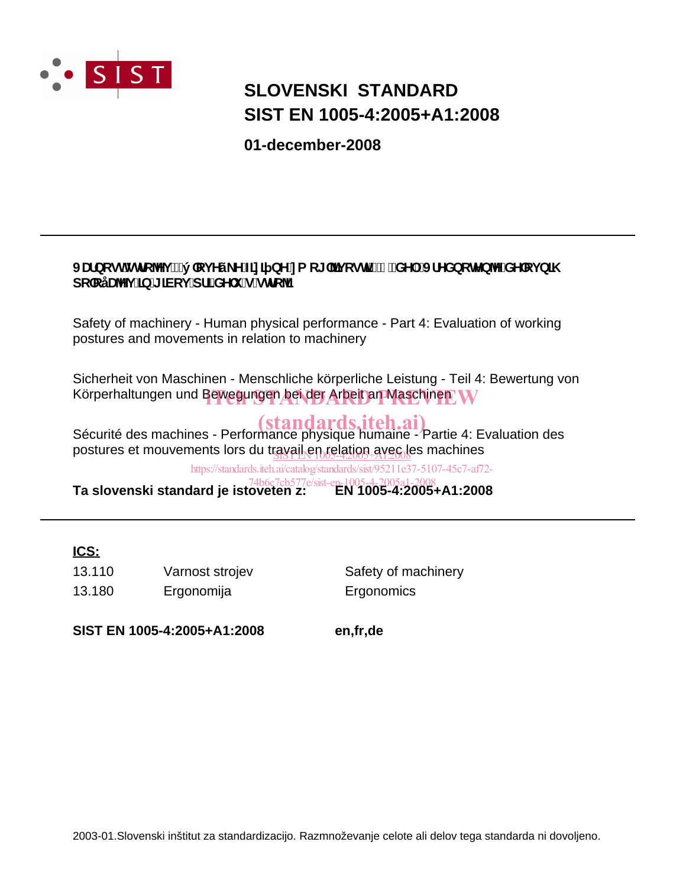

# **SIST EN 1005-4:2005+A1:2008 SLOVENSKI STANDARD**

**01-december-2008**

# JUfbcghghc^ij<sup>'</sup> `cjYý\_Y'Z|n] bY'na c[`^jjcgh]''("XY.'JfYXbchYb^Y'XY'cjb]\ dc`cÿUYj [b][ ]Vcj df] XY i gghc1

Safety of machinery - Human physical performance - Part 4: Evaluation of working postures and movements in relation to machinery

Sicherheit von Maschinen - Menschliche körperliche Leistung - Teil 4: Bewertung von Körperhaltungen und Bewegungen bei der Arbeit an Maschinen. W

Sécurité des machines - Performance physique humaine - Partie 4: Evaluation des postures et mouvements lors du tr<u>avail en relation avec l</u>es machines

**Ta slovenski standard je istoveten z: EN 1005-4:2005+A1:2008** 74b6c7cb577e/sist-en-1005-4-2005a1-2008https://standards.iteh.ai/catalog/standards/sist/95211e37-5107-45c7-af72-

**ICS:**

13.180 Ergonomija Ergonomics 13.110 Varnost strojev Safety of machinery

**SIST EN 1005-4:2005+A1:2008 en,fr,de**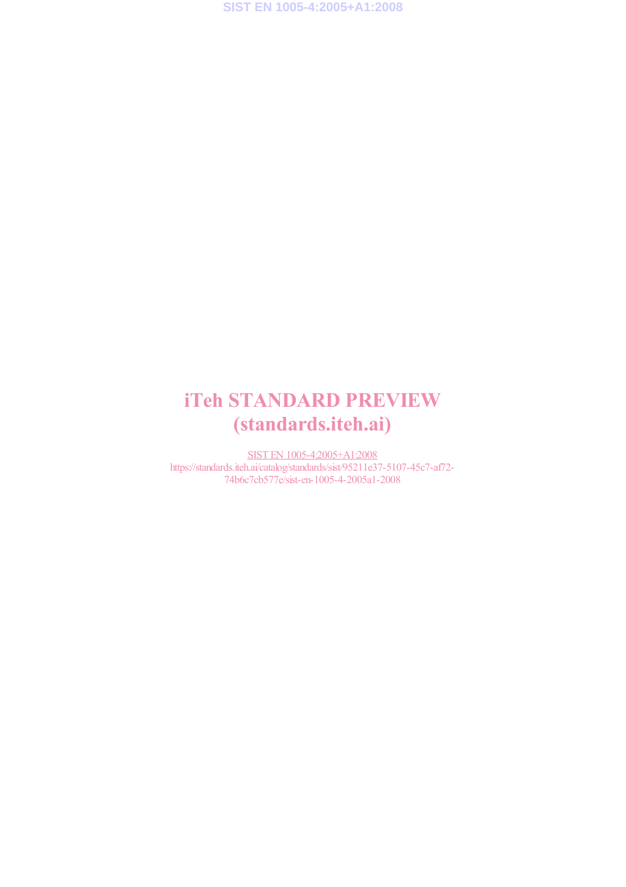# iTeh STANDARD PREVIEW (standards.iteh.ai)

SIST EN 1005-4:2005+A1:2008 https://standards.iteh.ai/catalog/standards/sist/95211e37-5107-45c7-af72- 74b6c7cb577e/sist-en-1005-4-2005a1-2008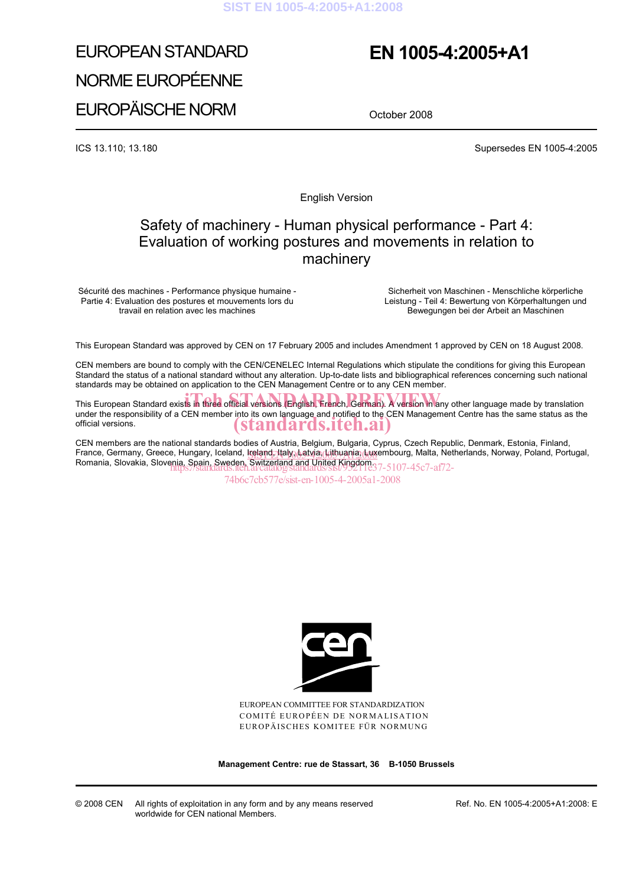# EUROPEAN STANDARD NORME EUROPÉENNE EUROPÄISCHE NORM

# **EN 1005-4:2005+A1**

October 2008

ICS 13.110; 13.180 Supersedes EN 1005-4:2005

English Version

# Safety of machinery - Human physical performance - Part 4: Evaluation of working postures and movements in relation to machinery

Sécurité des machines - Performance physique humaine - Partie 4: Evaluation des postures et mouvements lors du travail en relation avec les machines

 Sicherheit von Maschinen - Menschliche körperliche Leistung - Teil 4: Bewertung von Körperhaltungen und Bewegungen bei der Arbeit an Maschinen

This European Standard was approved by CEN on 17 February 2005 and includes Amendment 1 approved by CEN on 18 August 2008.

CEN members are bound to comply with the CEN/CENELEC Internal Regulations which stipulate the conditions for giving this European Standard the status of a national standard without any alteration. Up-to-date lists and bibliographical references concerning such national standards may be obtained on application to the CEN Management Centre or to any CEN member.

This European Standard exists in three official versions (English, French, German). A version in any other language made by translation under the responsibility of a CEN member into its own language and notified to the CEN Management Centre has the same status as the official versions. (standards.iteh.ai)

CEN members are the national standards bodies of Austria, Belgium, Bulgaria, Cyprus, Czech Republic, Denmark, Estonia, Finland, France, Germany, Greece, Hungary, Iceland, Ireland, Italy, Latvia, Lithuania, Luxembourg, Malta, Netherlands, Norway, Poland, Portugal, France, Germany, Greece, Hungary, Iceland, Ireland, Italy, Latvia, Lithuania, Luxe<br>Romania, Slovakia, Slovenia, Spain, Sweden, Switzerland and United Kingdom. https://standards.iteh.ai/catalog/standards/sist/95211e37-5107-45c7-af72-

74b6c7cb577e/sist-en-1005-4-2005a1-2008



EUROPEAN COMMITTEE FOR STANDARDIZATION COMITÉ EUROPÉEN DE NORMALISATION EUROPÄISCHES KOMITEE FÜR NORMUNG

**Management Centre: rue de Stassart, 36 B-1050 Brussels**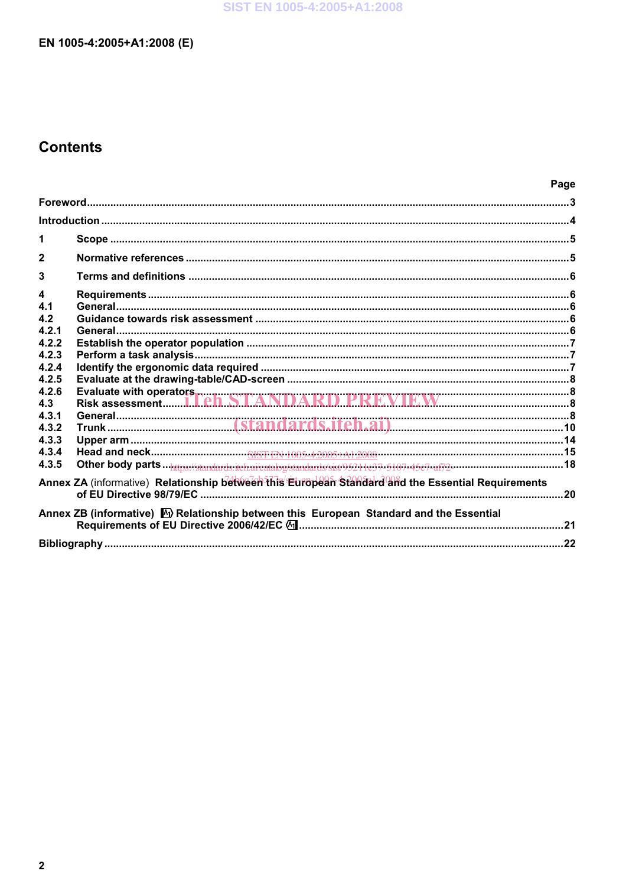# **Contents**

|                |                                                                                                                | Page |
|----------------|----------------------------------------------------------------------------------------------------------------|------|
|                |                                                                                                                |      |
|                |                                                                                                                |      |
| 1              |                                                                                                                |      |
| 2              |                                                                                                                |      |
| 3              |                                                                                                                |      |
| 4              |                                                                                                                |      |
| 4.1            |                                                                                                                |      |
| 4.2            |                                                                                                                |      |
| 4.2.1<br>4.2.2 |                                                                                                                |      |
| 4.2.3          |                                                                                                                |      |
| 4.2.4          |                                                                                                                |      |
| 4.2.5          |                                                                                                                |      |
| 4.2.6          |                                                                                                                |      |
| 4.3            |                                                                                                                |      |
| 4.3.1          |                                                                                                                |      |
| 4.3.2          |                                                                                                                |      |
| 4.3.3          |                                                                                                                |      |
| 4.3.4          |                                                                                                                |      |
| 4.3.5          |                                                                                                                |      |
|                | Annex ZA (informative) Relationship between this European Standard and the Essential Requirements              |      |
|                |                                                                                                                |      |
|                | Annex ZB (informative) $\overline{\mathbb{A}}$ ) Relationship between this European Standard and the Essential |      |
|                |                                                                                                                |      |
|                |                                                                                                                |      |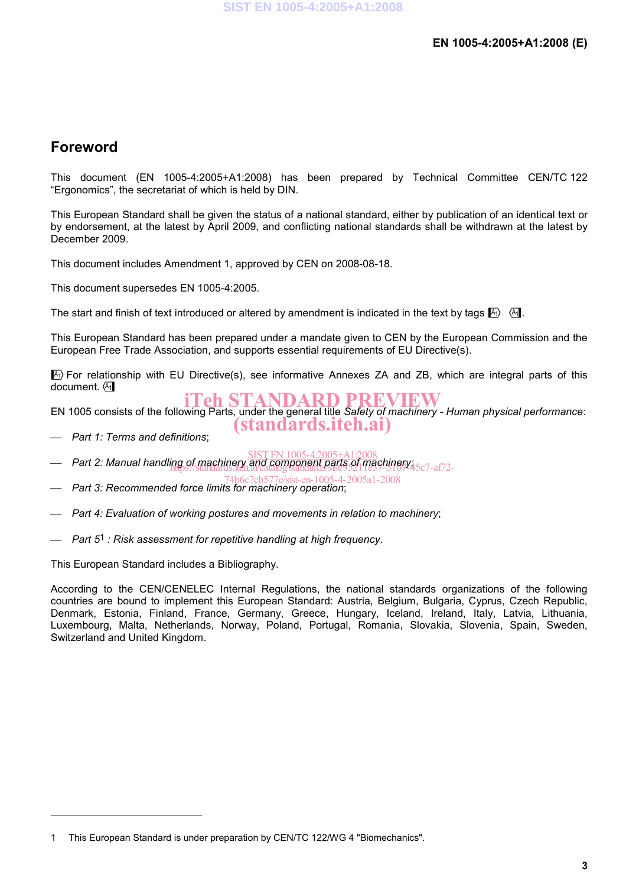# **Foreword**

This document (EN 1005-4:2005+A1:2008) has been prepared by Technical Committee CEN/TC 122 "Ergonomics", the secretariat of which is held by DIN.

This European Standard shall be given the status of a national standard, either by publication of an identical text or by endorsement, at the latest by April 2009, and conflicting national standards shall be withdrawn at the latest by December 2009.

This document includes Amendment 1, approved by CEN on 2008-08-18.

This document supersedes EN 1005-4:2005.

The start and finish of text introduced or altered by amendment is indicated in the text by tags  $\mathbb{A}_1$ .

This European Standard has been prepared under a mandate given to CEN by the European Commission and the European Free Trade Association, and supports essential requirements of EU Directive(s).

 $\overline{F_1}$  For relationship with EU Directive(s), see informative Annexes ZA and ZB, which are integral parts of this document.  $\sqrt{41}$ 

EN 1005 consists of the following Parts, under the general title *Safety of machinery - Human physical performance*: iTeh STANDARD PREVIEW (standards.iteh.ai)

*Part 1: Terms and definitions*;

l

- *Part 2: Manual handling of machinery and component parts of machinery;*  SIST EN 1005-4:2005+A1:2008
- http://machinery.and.component.pan.s.of.machine4y<sub>45c7-af72-</sub>
- *Part 3: Recommended force limits for machinery operation*; ist-en-1005-4-2005a1-2008
- *Part 4: Evaluation of working postures and movements in relation to machinery*;
- *Part 5*1 *: Risk assessment for repetitive handling at high frequency*.

This European Standard includes a Bibliography.

According to the CEN/CENELEC Internal Regulations, the national standards organizations of the following countries are bound to implement this European Standard: Austria, Belgium, Bulgaria, Cyprus, Czech Republic, Denmark, Estonia, Finland, France, Germany, Greece, Hungary, Iceland, Ireland, Italy, Latvia, Lithuania, Luxembourg, Malta, Netherlands, Norway, Poland, Portugal, Romania, Slovakia, Slovenia, Spain, Sweden, Switzerland and United Kingdom.

<sup>1</sup> This European Standard is under preparation by CEN/TC 122/WG 4 "Biomechanics".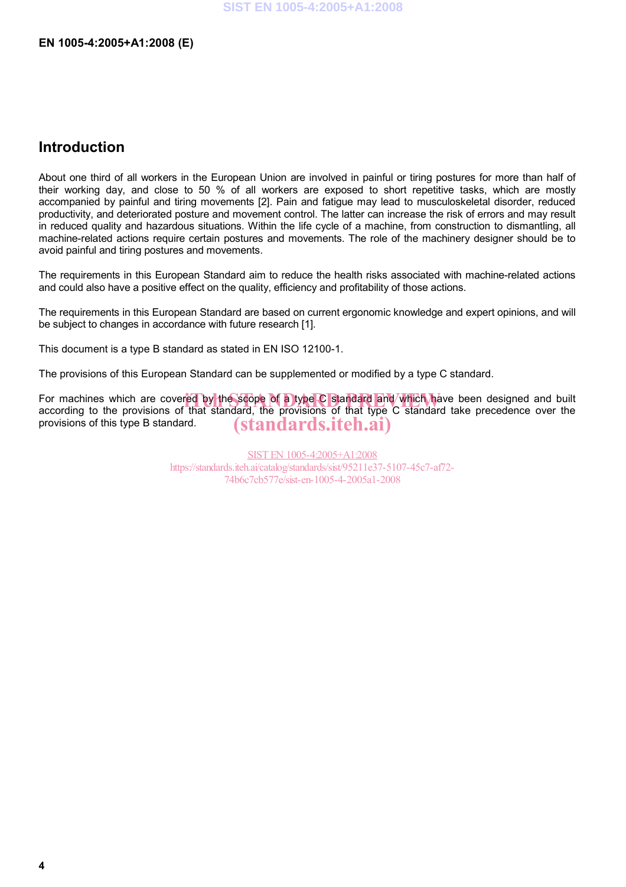# **Introduction**

About one third of all workers in the European Union are involved in painful or tiring postures for more than half of their working day, and close to 50 % of all workers are exposed to short repetitive tasks, which are mostly accompanied by painful and tiring movements [2]. Pain and fatigue may lead to musculoskeletal disorder, reduced productivity, and deteriorated posture and movement control. The latter can increase the risk of errors and may result in reduced quality and hazardous situations. Within the life cycle of a machine, from construction to dismantling, all machine-related actions require certain postures and movements. The role of the machinery designer should be to avoid painful and tiring postures and movements.

The requirements in this European Standard aim to reduce the health risks associated with machine-related actions and could also have a positive effect on the quality, efficiency and profitability of those actions.

The requirements in this European Standard are based on current ergonomic knowledge and expert opinions, and will be subject to changes in accordance with future research [1].

This document is a type B standard as stated in EN ISO 12100-1.

The provisions of this European Standard can be supplemented or modified by a type C standard.

For machines which are covered by the scope of a type C standard and which have been designed and built according to the provisions of that standard the provisions of the standard face of the secondary and the secondary ov according to the provisions of that standard, the provisions of that type C standard take precedence over the provisions of this type B standard. (standards.iteh.ai)

> SIST EN 1005-4:2005+A1:2008 https://standards.iteh.ai/catalog/standards/sist/95211e37-5107-45c7-af72- 74b6c7cb577e/sist-en-1005-4-2005a1-2008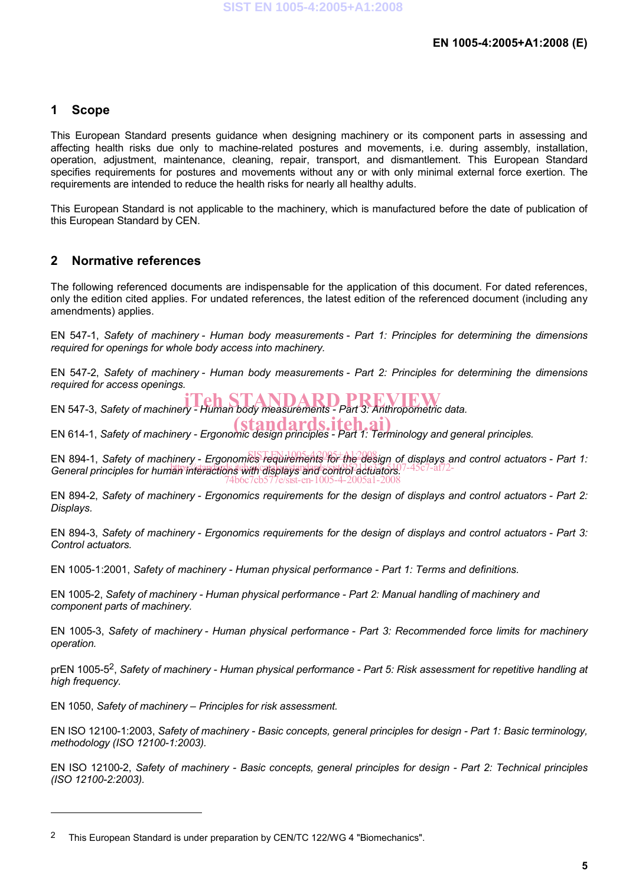## **1 Scope**

This European Standard presents guidance when designing machinery or its component parts in assessing and affecting health risks due only to machine-related postures and movements, i.e. during assembly, installation, operation, adjustment, maintenance, cleaning, repair, transport, and dismantlement. This European Standard specifies requirements for postures and movements without any or with only minimal external force exertion. The requirements are intended to reduce the health risks for nearly all healthy adults.

This European Standard is not applicable to the machinery, which is manufactured before the date of publication of this European Standard by CEN.

# **2 Normative references**

The following referenced documents are indispensable for the application of this document. For dated references, only the edition cited applies. For undated references, the latest edition of the referenced document (including any amendments) applies.

EN 547-1, *Safety of machinery - Human body measurements - Part 1: Principles for determining the dimensions required for openings for whole body access into machinery.* 

EN 547-2, *Safety of machinery - Human body measurements - Part 2: Principles for determining the dimensions required for access openings.*

EN 547-3, *Safety of machinery - Human body measurements - Part 3: Anthropometric data.* 

standards.iteh

EN 614-1, *Safety of machinery - Ergonomic design principles - Part 1: Terminology and general principles.*

EN 894-1, Safety of machinery - Ergonomics requirements for the design of displays and control actuators - Part 1: *General principles for human interactions with displays and control actuators.* https://standards.iteh.ai/catalog/standards/sist/95211e37-5107-45c7-af72- 74b6c7cb577e/sist-en-1005-4-2005a1-2008

EN 894-2, *Safety of machinery - Ergonomics requirements for the design of displays and control actuators - Part 2: Displays.*

EN 894-3, *Safety of machinery - Ergonomics requirements for the design of displays and control actuators - Part 3: Control actuators.*

EN 1005-1:2001, *Safety of machinery - Human physical performance - Part 1: Terms and definitions.*

EN 1005-2, *Safety of machinery - Human physical performance - Part 2: Manual handling of machinery and component parts of machinery.*

EN 1005-3, *Safety of machinery - Human physical performance - Part 3: Recommended force limits for machinery operation.* 

prEN 1005-52, *Safety of machinery - Human physical performance - Part 5: Risk assessment for repetitive handling at high frequency.* 

EN 1050, *Safety of machinery – Principles for risk assessment.* 

l

EN ISO 12100-1:2003, *Safety of machinery - Basic concepts, general principles for design - Part 1: Basic terminology, methodology (ISO 12100-1:2003).* 

EN ISO 12100-2, *Safety of machinery - Basic concepts, general principles for design - Part 2: Technical principles (ISO 12100-2:2003).* 

<sup>&</sup>lt;sup>2</sup> This European Standard is under preparation by CEN/TC 122/WG 4 "Biomechanics".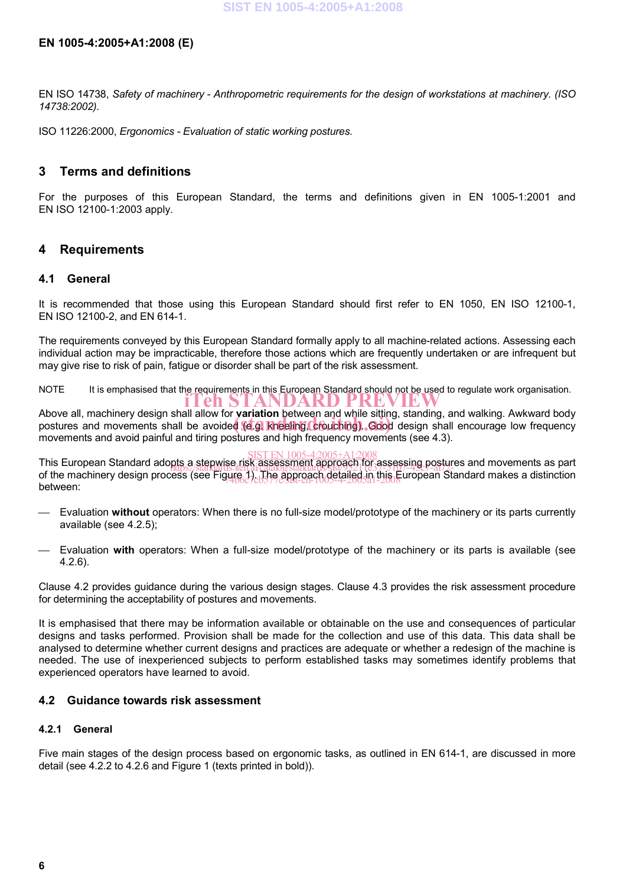EN ISO 14738, *Safety of machinery - Anthropometric requirements for the design of workstations at machinery. (ISO 14738:2002).*

ISO 11226:2000, *Ergonomics - Evaluation of static working postures.*

# **3 Terms and definitions**

For the purposes of this European Standard, the terms and definitions given in EN 1005-1:2001 and EN ISO 12100-1:2003 apply.

# **4 Requirements**

## **4.1 General**

It is recommended that those using this European Standard should first refer to EN 1050, EN ISO 12100-1, EN ISO 12100-2, and EN 614-1.

The requirements conveyed by this European Standard formally apply to all machine-related actions. Assessing each individual action may be impracticable, therefore those actions which are frequently undertaken or are infrequent but may give rise to risk of pain, fatigue or disorder shall be part of the risk assessment.

NOTE It is emphasised that the requirements in this European Standard should not be used to regulate work organisation.<br>Above all maskings a decime abolit allow for verticities between and while alting a decelling and well

Above all, machinery design shall allow for **variation** between and while sitting, standing, and walking. Awkward body Above all, machinery design shall allow for **variation** between allo while sitting, standing, and waiking. Awkward body<br>postures and movements shall be avoided (e.g. kneeling, crouching). Good design shall encourage low fr movements and avoid painful and tiring postures and high frequency movements (see 4.3).

#### SIST EN 1005-4:2005+

This European Standard adopts a stepwise risk assessment approach for assessing postures and movements as part<br>of the meeting as design are ships, standards.it is definitively in the standard of the dealer design and molec of the machinery design process (see Figure 1). The approach detailed in this European Standard makes a distinction<br>het ween: between:

- Evaluation **without** operators: When there is no full-size model/prototype of the machinery or its parts currently available (see 4.2.5);
- Evaluation **with** operators: When a full-size model/prototype of the machinery or its parts is available (see 4.2.6).

Clause 4.2 provides guidance during the various design stages. Clause 4.3 provides the risk assessment procedure for determining the acceptability of postures and movements.

It is emphasised that there may be information available or obtainable on the use and consequences of particular designs and tasks performed. Provision shall be made for the collection and use of this data. This data shall be analysed to determine whether current designs and practices are adequate or whether a redesign of the machine is needed. The use of inexperienced subjects to perform established tasks may sometimes identify problems that experienced operators have learned to avoid.

## **4.2 Guidance towards risk assessment**

## **4.2.1 General**

Five main stages of the design process based on ergonomic tasks, as outlined in EN 614-1, are discussed in more detail (see 4.2.2 to 4.2.6 and Figure 1 (texts printed in bold)).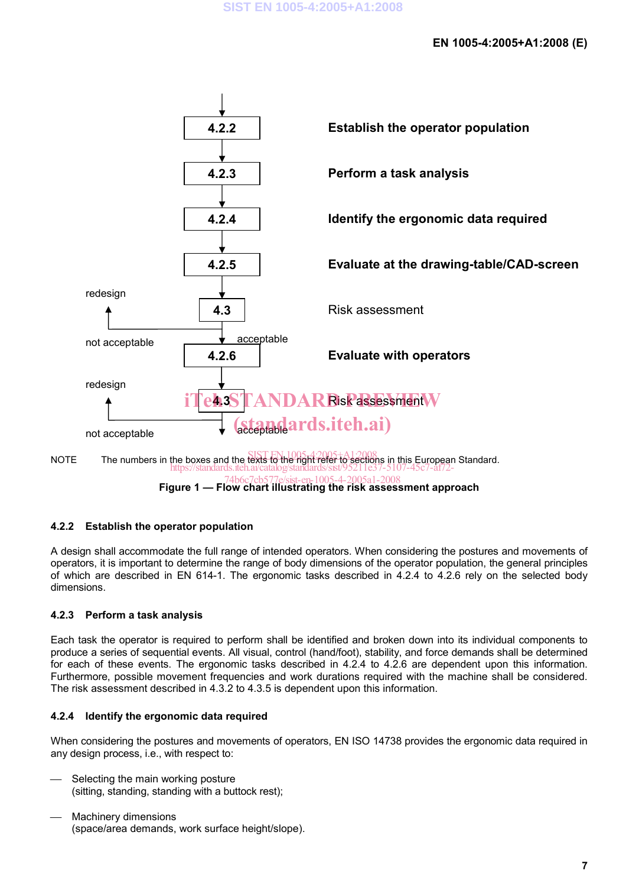

**Figure 1 — Flow chart illustrating the risk assessment approach**  74b6c7cb577e/sist-en-1005-4-2005a1-2008

## **4.2.2 Establish the operator population**

A design shall accommodate the full range of intended operators. When considering the postures and movements of operators, it is important to determine the range of body dimensions of the operator population, the general principles of which are described in EN 614-1. The ergonomic tasks described in 4.2.4 to 4.2.6 rely on the selected body dimensions.

## **4.2.3 Perform a task analysis**

Each task the operator is required to perform shall be identified and broken down into its individual components to produce a series of sequential events. All visual, control (hand/foot), stability, and force demands shall be determined for each of these events. The ergonomic tasks described in 4.2.4 to 4.2.6 are dependent upon this information. Furthermore, possible movement frequencies and work durations required with the machine shall be considered. The risk assessment described in 4.3.2 to 4.3.5 is dependent upon this information.

## **4.2.4 Identify the ergonomic data required**

When considering the postures and movements of operators, EN ISO 14738 provides the ergonomic data required in any design process, i.e., with respect to:

- Selecting the main working posture (sitting, standing, standing with a buttock rest);
- Machinery dimensions (space/area demands, work surface height/slope).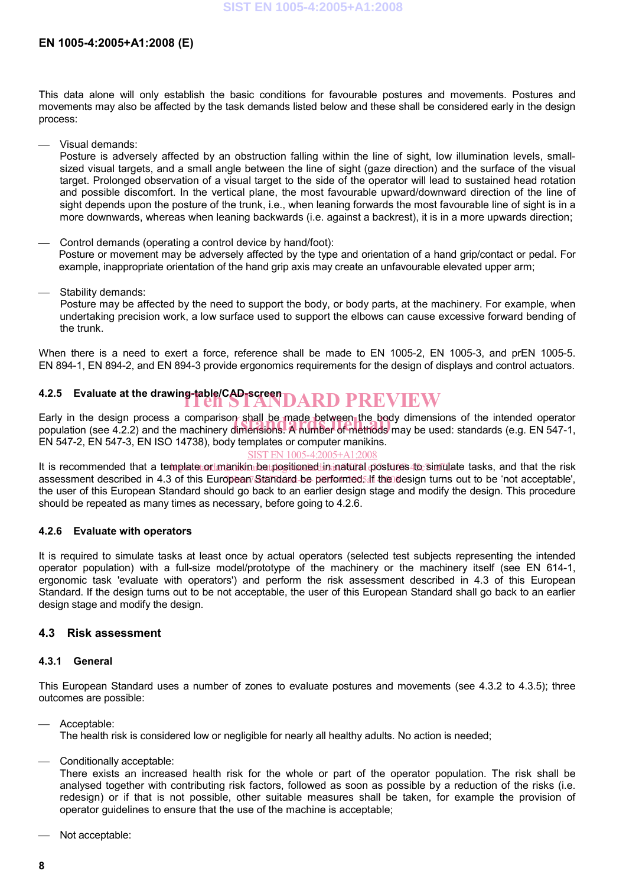## **EN 1005-4:2005+A1:2008 (E)**

This data alone will only establish the basic conditions for favourable postures and movements. Postures and movements may also be affected by the task demands listed below and these shall be considered early in the design process:

- Visual demands:

Posture is adversely affected by an obstruction falling within the line of sight, low illumination levels, smallsized visual targets, and a small angle between the line of sight (gaze direction) and the surface of the visual target. Prolonged observation of a visual target to the side of the operator will lead to sustained head rotation and possible discomfort. In the vertical plane, the most favourable upward/downward direction of the line of sight depends upon the posture of the trunk, i.e., when leaning forwards the most favourable line of sight is in a more downwards, whereas when leaning backwards (i.e. against a backrest), it is in a more upwards direction;

#### Control demands (operating a control device by hand/foot):

 Posture or movement may be adversely affected by the type and orientation of a hand grip/contact or pedal. For example, inappropriate orientation of the hand grip axis may create an unfavourable elevated upper arm;

Stability demands:

Posture may be affected by the need to support the body, or body parts, at the machinery. For example, when undertaking precision work, a low surface used to support the elbows can cause excessive forward bending of the trunk.

When there is a need to exert a force, reference shall be made to EN 1005-2, EN 1005-3, and prEN 1005-5. EN 894-1, EN 894-2, and EN 894-3 provide ergonomics requirements for the design of displays and control actuators.

# **4.2.5 Evaluate at the drawing-table/CAD-screen DARD PREVIEW**

Early in the design process a comparison shall be made between the body dimensions of the intended operator Early in the design process a comparison shall be made between the body dimensions of the intended operator<br>population (see 4.2.2) and the machinery dimensions. A number of methods may be used: standards (e.g. EN 547-1, EN 547-2, EN 547-3, EN ISO 14738), body templates or computer manikins.

## SIST EN 1005-4:2005+A1:2008

It is recommended that a template or manikin be positioned in natural postures to simulate tasks, and that the risk assessment described in 4.3 of this European Standard be performed5df the design turns out to be 'not acceptable', the user of this European Standard should go back to an earlier design stage and modify the design. This procedure should be repeated as many times as necessary, before going to 4.2.6.

#### **4.2.6 Evaluate with operators**

It is required to simulate tasks at least once by actual operators (selected test subjects representing the intended operator population) with a full-size model/prototype of the machinery or the machinery itself (see EN 614-1, ergonomic task 'evaluate with operators') and perform the risk assessment described in 4.3 of this European Standard. If the design turns out to be not acceptable, the user of this European Standard shall go back to an earlier design stage and modify the design.

#### **4.3 Risk assessment**

#### **4.3.1 General**

This European Standard uses a number of zones to evaluate postures and movements (see 4.3.2 to 4.3.5); three outcomes are possible:

Acceptable:

The health risk is considered low or negligible for nearly all healthy adults. No action is needed;

- Conditionally acceptable:

There exists an increased health risk for the whole or part of the operator population. The risk shall be analysed together with contributing risk factors, followed as soon as possible by a reduction of the risks (i.e. redesign) or if that is not possible, other suitable measures shall be taken, for example the provision of operator guidelines to ensure that the use of the machine is acceptable;

Not acceptable: